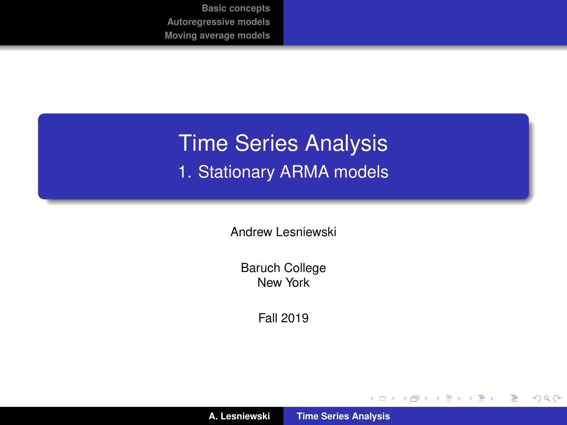# <span id="page-0-0"></span>Time Series Analysis 1. Stationary ARMA models

Andrew Lesniewski

Baruch College New York

Fall 2019

メロトメ 伊 トメ ミトメ ミト

重

 $2Q$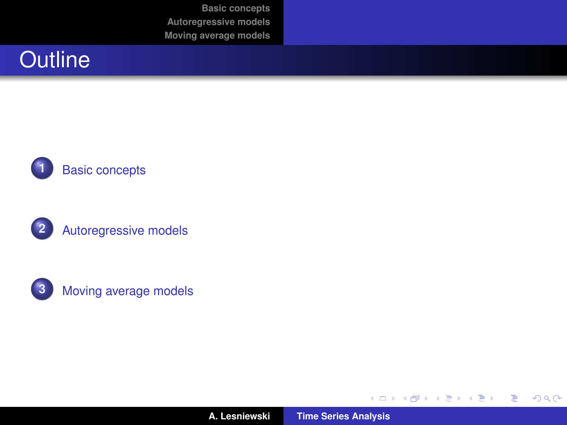# **Outline**







**A. Lesniewski [Time Series Analysis](#page-0-0)**

(ロトス個) (運) (運)

重

 $2Q$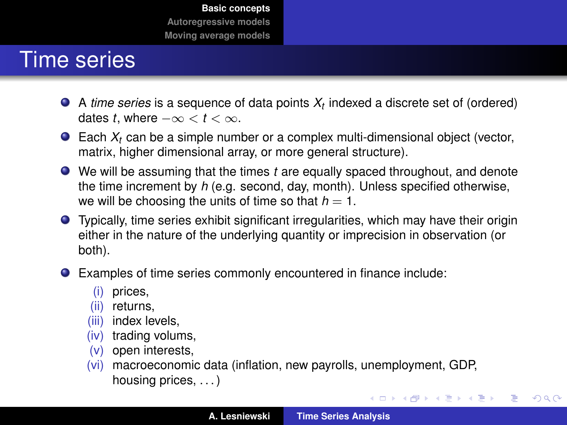#### <span id="page-2-0"></span>Time series

- A *time series* is a sequence of data points *X<sup>t</sup>* indexed a discrete set of (ordered) dates *t*, where  $-\infty < t < \infty$ .
- Each *X<sup>t</sup>* can be a simple number or a complex multi-dimensional object (vector, matrix, higher dimensional array, or more general structure).
- We will be assuming that the times *t* are equally spaced throughout, and denote the time increment by *h* (e.g. second, day, month). Unless specified otherwise, we will be choosing the units of time so that  $h = 1$ .
- Typically, time series exhibit significant irregularities, which may have their origin either in the nature of the underlying quantity or imprecision in observation (or both).
- Examples of time series commonly encountered in finance include:
	- (i) prices,<br>(ii) returns
	- returns.
	- (iii) index levels,
	- (iv) trading volums,
	- (v) open interests,
	- (vi) macroeconomic data (inflation, new payrolls, unemployment, GDP, housing prices, ...)

イロメ イ団メ イヨメ イヨメー

重

 $298$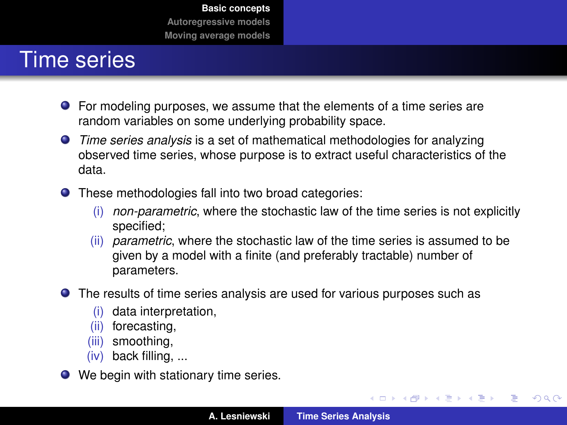#### Time series

- For modeling purposes, we assume that the elements of a time series are random variables on some underlying probability space.
- *Time series analysis* is a set of mathematical methodologies for analyzing observed time series, whose purpose is to extract useful characteristics of the data.
- These methodologies fall into two broad categories:
	- (i) *non-parametric*, where the stochastic law of the time series is not explicitly specified;
	- (ii) *parametric*, where the stochastic law of the time series is assumed to be given by a model with a finite (and preferably tractable) number of parameters.
- The results of time series analysis are used for various purposes such as
	- (i) data interpretation,
	- (ii) forecasting,
	- (iii) smoothing,
	- (iv) back filling, ...
- We begin with stationary time series.

イロメ イ部メ イ君メ イ君メー

重

 $2Q$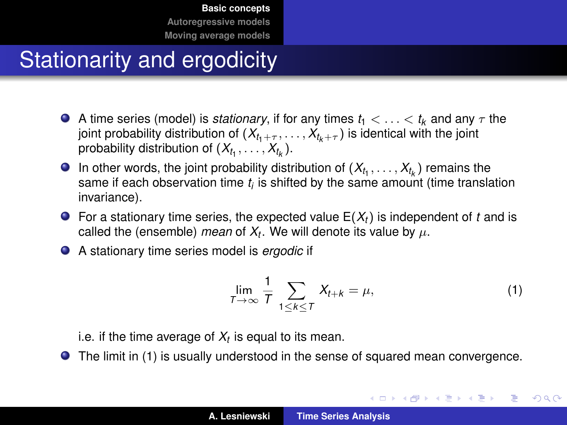# Stationarity and ergodicity

- A time series (model) is *stationary*, if for any times  $t_1 < \ldots < t_k$  and any  $\tau$  the joint probability distribution of  $(X_{t_1+\tau}, \ldots, X_{t_k+\tau})$  is identical with the joint probability distribution of  $(X_{t_1}, \ldots, X_{t_k})$ .
- In other words, the joint probability distribution of  $(X_{t_1},\ldots,X_{t_k})$  remains the same if each observation time *t<sup>i</sup>* is shifted by the same amount (time translation invariance).
- $\bullet$  For a stationary time series, the expected value  $E(X_t)$  is independent of *t* and is called the (ensemble) *mean* of  $X_t$ . We will denote its value by  $\mu$ .
- A stationary time series model is *ergodic* if

<span id="page-4-0"></span>
$$
\lim_{T \to \infty} \frac{1}{T} \sum_{1 \le k \le T} X_{t+k} = \mu,\tag{1}
$$

メロメメ 御 メメ 重 メメ 悪 メー

重

 $298$ 

i.e. if the time average of *X<sup>t</sup>* is equal to its mean.

The limit in [\(1\)](#page-4-0) is usually understood in the sense of squared mean convergence.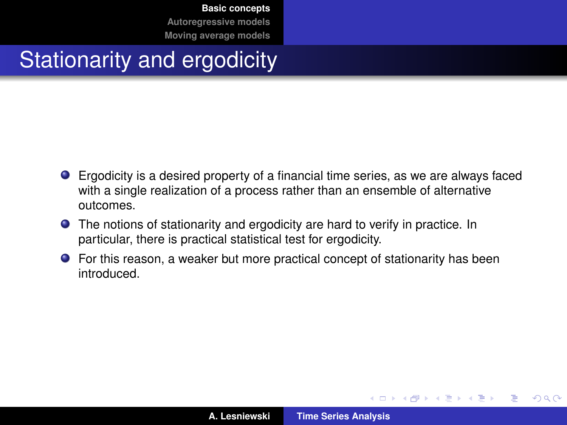# Stationarity and ergodicity

- Ergodicity is a desired property of a financial time series, as we are always faced with a single realization of a process rather than an ensemble of alternative outcomes.
- The notions of stationarity and ergodicity are hard to verify in practice. In particular, there is practical statistical test for ergodicity.
- For this reason, a weaker but more practical concept of stationarity has been introduced.

(ロトス個) (運) (運)

 $QQ$ 

Þ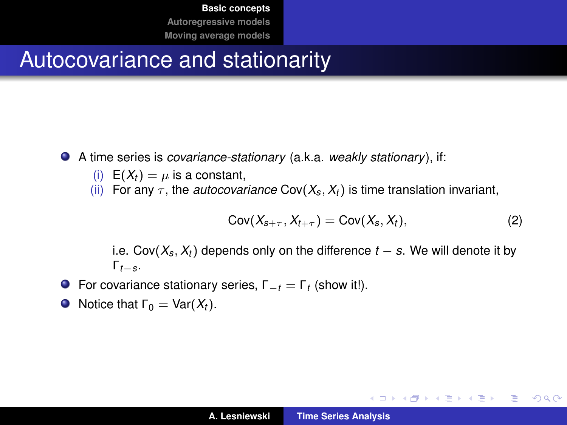#### Autocovariance and stationarity

- A time series is *covariance-stationary* (a.k.a. *weakly stationary*), if:
	- (i)  $E(X_t) = \mu$  is a constant,
	- (ii) For any  $\tau$ , the *autocovariance* Cov( $X_s$ ,  $X_t$ ) is time translation invariant,

$$
Cov(X_{s+\tau}, X_{t+\tau}) = Cov(X_s, X_t), \qquad (2)
$$

イロメ イ部メ イヨメ イヨメー

 $2990$ 重

i.e. Cov( $X_s$ ,  $X_t$ ) depends only on the difference  $t - s$ . We will denote it by Γ*t*−*s*.

- For covariance stationary series, Γ−*<sup>t</sup>* = Γ*<sup>t</sup>* (show it!).
- Notice that  $\Gamma_0 = \text{Var}(X_t)$ .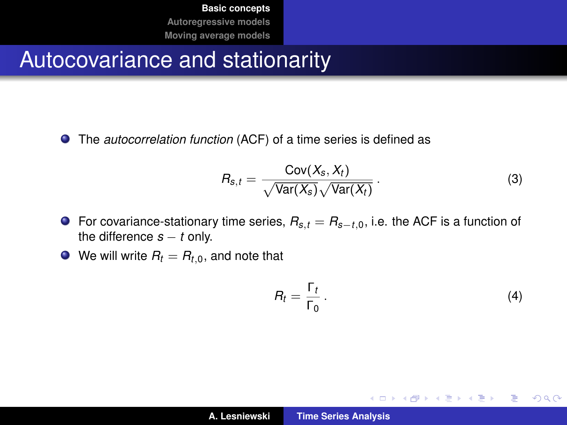#### Autocovariance and stationarity

The *autocorrelation function* (ACF) of a time series is defined as

$$
R_{s,t} = \frac{\text{Cov}(X_s, X_t)}{\sqrt{\text{Var}(X_s)} \sqrt{\text{Var}(X_t)}}.
$$
 (3)

- For covariance-stationary time series, *Rs*,*<sup>t</sup>* = *Rs*−*t*,0, i.e. the ACF is a function of the difference  $s - t$  only.
- $\bullet$  We will write  $R_t = R_{t,0}$ , and note that

$$
R_t = \frac{\Gamma_t}{\Gamma_0} \,. \tag{4}
$$

イロメ イ部メ イヨメ イヨメー

 $2Q$ 

重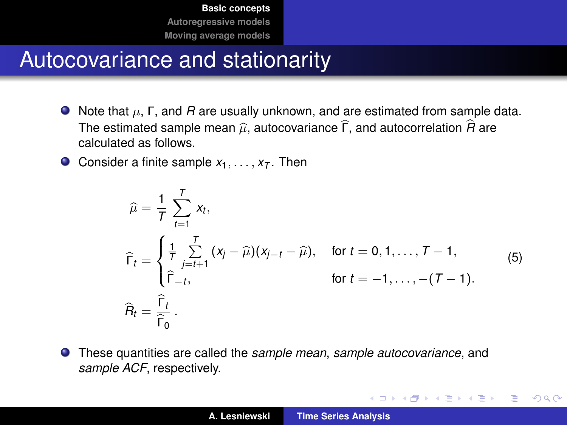#### Autocovariance and stationarity

- $\bullet$  Note that  $\mu$ ,  $\Gamma$ , and  $R$  are usually unknown, and are estimated from sample data. The estimated sample mean  $\hat{\mu}$ , autocovariance  $\hat{\Gamma}$ , and autocorrelation  $\hat{R}$  are calculated as follows.
- **O** Consider a finite sample  $x_1, \ldots, x_T$ . Then

$$
\hat{\mu} = \frac{1}{T} \sum_{t=1}^{T} x_t,
$$
\n
$$
\hat{\Gamma}_t = \begin{cases}\n\frac{1}{T} \sum_{j=t+1}^{T} (x_j - \hat{\mu})(x_{j-t} - \hat{\mu}), & \text{for } t = 0, 1, ..., T - 1, \\
\hat{\Gamma}_{-t}, & \text{for } t = -1, ..., -(T - 1).\n\end{cases}
$$
\n
$$
\hat{R}_t = \frac{\hat{\Gamma}_t}{\hat{\Gamma}_0}.
$$
\n(5)

イロメ イ団メ イヨメ イヨメー

 $2Q$ 

重

These quantities are called the *sample mean*, *sample autocovariance*, and *sample ACF*, respectively.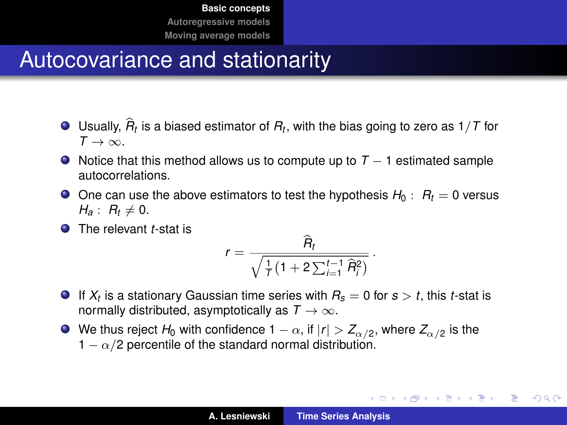#### Autocovariance and stationarity

- Usually,  $R_t$  is a biased estimator of  $R_t$ , with the bias going to zero as 1/*T* for<br>T  $T \rightarrow \infty$
- $\bullet$  Notice that this method allows us to compute up to  $T 1$  estimated sample autocorrelations.
- $\bullet$  One can use the above estimators to test the hypothesis  $H_0$ :  $R_t = 0$  versus  $H_{a}: R_{t} \neq 0.$
- **O** The relevant *t*-stat is

$$
r = \frac{\widehat{R}_t}{\sqrt{\frac{1}{T}\left(1 + 2\sum_{i=1}^{t-1} \widehat{R}_i^2\right)}}.
$$

- If  $X_t$  is a stationary Gaussian time series with  $R_s=0$  for  $s>t$ , this *t-*stat is normally distributed, asymptotically as  $T \rightarrow \infty$ .
- We thus reject  $H_0$  with confidence 1  $\alpha,$  if  $|r| > Z_{\alpha/2},$  where  $Z_{\alpha/2}$  is the  $1 - \alpha/2$  percentile of the standard normal distribution.

イロメ イ部メ イヨメ イヨメー

重

 $298$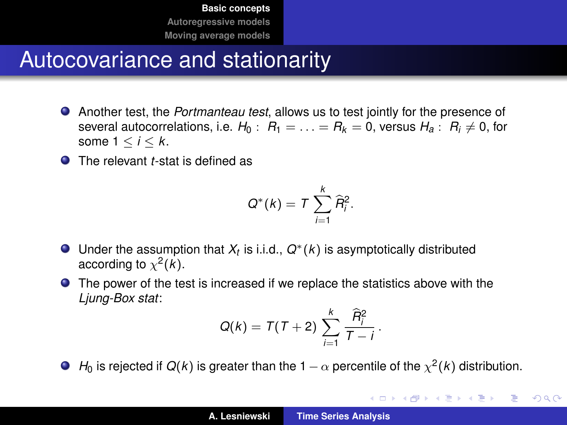#### Autocovariance and stationarity

- Another test, the *Portmanteau test*, allows us to test jointly for the presence of several autocorrelations, i.e.  $H_0$ :  $R_1 = \ldots = R_k = 0$ , versus  $H_a$ :  $R_i \neq 0$ , for some  $1 \leq i \leq k$ .
- **O** The relevant *t*-stat is defined as

$$
Q^*(k) = T \sum_{i=1}^k \widehat{R}_i^2.
$$

- Under the assumption that  $X_t$  is i.i.d.,  $Q^*(k)$  is asymptotically distributed according to  $\chi^2(k)$ .
- The power of the test is increased if we replace the statistics above with the *Ljung-Box stat*:

$$
Q(k)=T(T+2)\sum_{i=1}^k\frac{\widehat{R}_i^2}{T-i}.
$$

 $H_0$  is rejected if  $Q(k)$  is greater than the 1  $-\alpha$  percentile of the  $\chi^2(k)$  distribution.

イロメ イ部メ イヨメ イヨメー

重

 $2Q$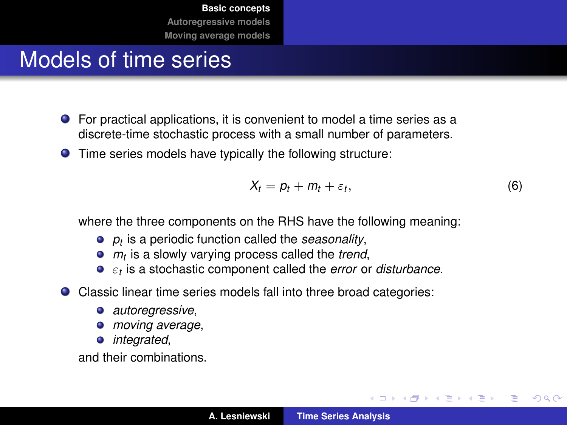## Models of time series

- For practical applications, it is convenient to model a time series as a discrete-time stochastic process with a small number of parameters.
- Time series models have typically the following structure:

$$
X_t = p_t + m_t + \varepsilon_t, \tag{6}
$$

イロメ イ部メ イ君メ イ君メー

 $2Q$ 

Þ

where the three components on the RHS have the following meaning:

- *pt* is a periodic function called the *seasonality*,
- *mt* is a slowly varying process called the *trend*,
- ε*t* is a stochastic component called the *error* or *disturbance*.
- Classic linear time series models fall into three broad categories:
	- *autoregressive*,
	- *moving average*,
	- *integrated*,

and their combinations.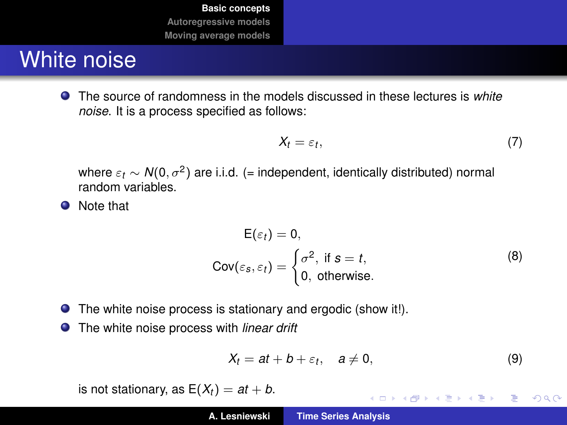# White noise

The source of randomness in the models discussed in these lectures is *white noise*. It is a process specified as follows:

$$
X_t = \varepsilon_t, \tag{7}
$$

where  $\varepsilon_t \sim \mathcal{N}(0, \sigma^2)$  are i.i.d. (= independent, identically distributed) normal random variables.

• Note that

$$
E(\varepsilon_t) = 0,
$$
  
Cov( $\varepsilon_s$ ,  $\varepsilon_t$ ) =  $\begin{cases} \sigma^2, & \text{if } s = t, \\ 0, & \text{otherwise.} \end{cases}$  (8)

- The white noise process is stationary and ergodic (show it!).
- The white noise process with *linear drift*

$$
X_t = at + b + \varepsilon_t, \quad a \neq 0,
$$
\n(9)

K ロ ⊁ K 伊 ⊁ K 君 ⊁ K 君 ⊁ …

 $E = \Omega Q$ 

is not stationary, as  $E(X_t) = at + b$ .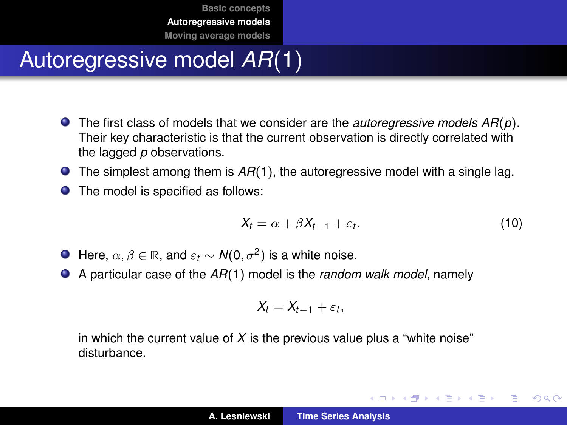# <span id="page-13-0"></span>Autoregressive model *AR*(1)

- The first class of models that we consider are the *autoregressive models AR*(*p*). Their key characteristic is that the current observation is directly correlated with the lagged *p* observations.
- The simplest among them is  $AR(1)$ , the autoregressive model with a single lag.
- The model is specified as follows:  $\bullet$

<span id="page-13-1"></span>
$$
X_t = \alpha + \beta X_{t-1} + \varepsilon_t. \tag{10}
$$

イロメ イ部メ イ君メ イ君メー

Þ

 $298$ 

- Here,  $\alpha, \beta \in \mathbb{R}$ , and  $\varepsilon_t \sim \mathcal{N}(0, \sigma^2)$  is a white noise.
- A particular case of the *AR*(1) model is the *random walk model*, namely

$$
X_t = X_{t-1} + \varepsilon_t,
$$

in which the current value of  $X$  is the previous value plus a "white noise" disturbance.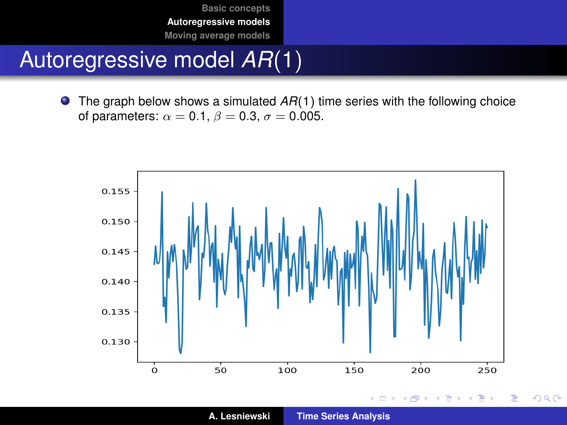## Autoregressive model *AR*(1)

● The graph below shows a simulated *AR*(1) time series with the following choice of parameters:  $\alpha = 0.1$ ,  $\beta = 0.3$ ,  $\sigma = 0.005$ .



 $2Q$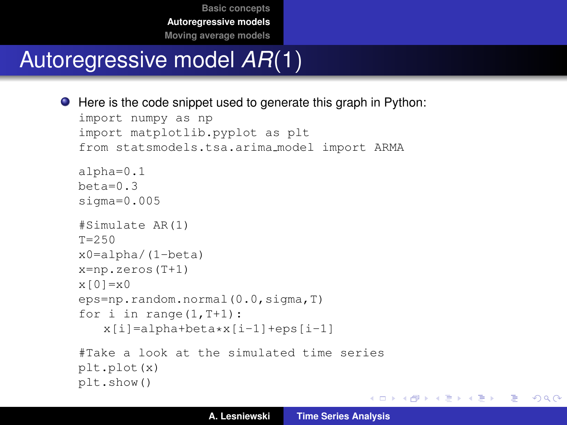# Autoregressive model *AR*(1)

```
● Here is the code snippet used to generate this graph in Python:
  import numpy as np
  import matplotlib.pyplot as plt
  from statsmodels.tsa.arima model import ARMA
  alpha=0.1
  beta=0.3sigma=0.005
  #Simulate AR(1)
  T = 250x0=alpha/(1-beta)
  x=np.zeros(T+1)
  x[0]=x0eps=np.random.normal(0.0,sigma,T)
  for i in range(1, T+1):
      x[i]=alpha+beta*x[i-1]+eps[i-1]
  #Take a look at the simulated time series
  plt.plot(x)
  plt.show()
```
K ロ ▶ K 個 ▶ K 로 ▶ K 로 ▶ - 로 - K 9 Q @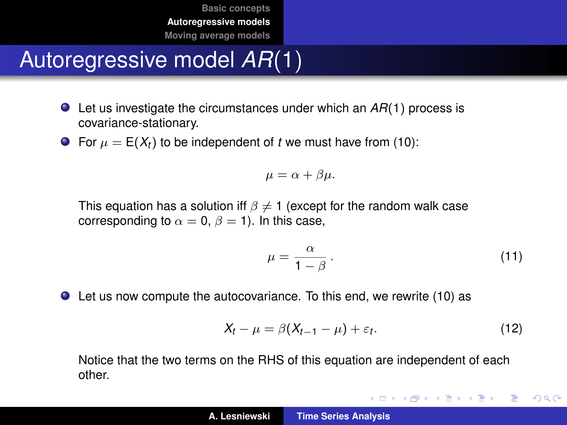# Autoregressive model *AR*(1)

- Let us investigate the circumstances under which an *AR*(1) process is covariance-stationary.
- For  $\mu = E(X_t)$  to be independent of *t* we must have from [\(10\)](#page-13-1):

$$
\mu = \alpha + \beta \mu.
$$

This equation has a solution iff  $\beta \neq 1$  (except for the random walk case corresponding to  $\alpha = 0$ ,  $\beta = 1$ ). In this case,

$$
\mu = \frac{\alpha}{1 - \beta} \,. \tag{11}
$$

イロメ イ団メ イヨメ イヨメー

重

 $2Q$ 

Let us now compute the autocovariance. To this end, we rewrite [\(10\)](#page-13-1) as

<span id="page-16-0"></span>
$$
X_t - \mu = \beta (X_{t-1} - \mu) + \varepsilon_t. \tag{12}
$$

Notice that the two terms on the RHS of this equation are independent of each other.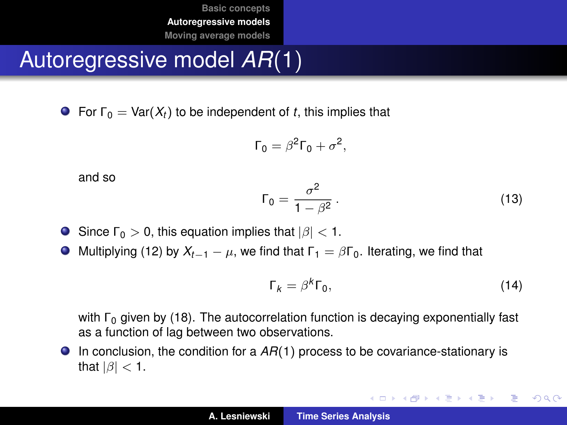Autoregressive model *AR*(1)

**For**  $\Gamma_0 = \text{Var}(X_t)$  to be independent of *t*, this implies that

<span id="page-17-0"></span>
$$
\Gamma_0 = \beta^2 \Gamma_0 + \sigma^2,
$$

and so

$$
\Gamma_0 = \frac{\sigma^2}{1 - \beta^2} \,. \tag{13}
$$

- Since  $\Gamma_0 > 0$ , this equation implies that  $|\beta| < 1$ .
- $\bullet$  Multiplying [\(12\)](#page-16-0) by  $X_{t-1} \mu$ , we find that  $Γ_1 = βΓ_0$ . Iterating, we find that

$$
\Gamma_k = \beta^k \Gamma_0,\tag{14}
$$

K ロ ▶ K 御 ▶ K 重 ▶ K 重 ▶ 三重 → 約 Q @

with  $\Gamma_0$  given by [\(18\)](#page-17-0). The autocorrelation function is decaying exponentially fast as a function of lag between two observations.

In conclusion, the condition for a *AR*(1) process to be covariance-stationary is that  $|\beta|$  < 1.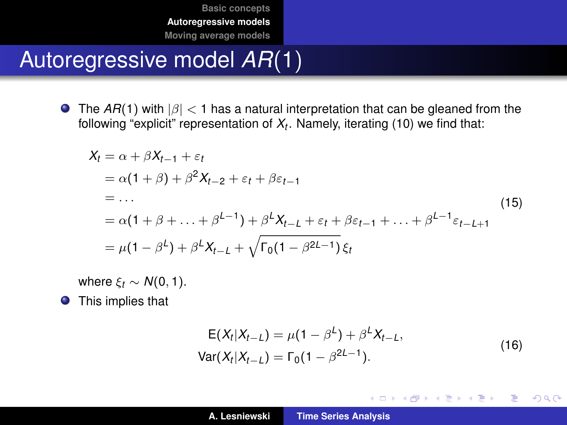# Autoregressive model *AR*(1)

**The AR(1) with**  $|\beta| < 1$  **has a natural interpretation that can be gleaned from the** following "explicit" representation of *X<sup>t</sup>* . Namely, iterating [\(10\)](#page-13-1) we find that:

$$
X_t = \alpha + \beta X_{t-1} + \varepsilon_t
$$
  
=  $\alpha(1 + \beta) + \beta^2 X_{t-2} + \varepsilon_t + \beta \varepsilon_{t-1}$   
= ...  
=  $\alpha(1 + \beta + ... + \beta^{L-1}) + \beta^L X_{t-L} + \varepsilon_t + \beta \varepsilon_{t-1} + ... + \beta^{L-1} \varepsilon_{t-L+1}$   
=  $\mu(1 - \beta^L) + \beta^L X_{t-L} + \sqrt{\Gamma_0(1 - \beta^{2L-1})} \xi_t$  (15)

where  $\xi_t \sim N(0, 1)$ .

**•** This implies that

$$
E(X_t|X_{t-L}) = \mu(1 - \beta^L) + \beta^L X_{t-L},
$$
  
Var(X\_t|X\_{t-L}) = \Gamma\_0(1 - \beta^{2L-1}). (16)

イロメ イ部メ イヨメ イヨメー

 $2Q$ 

重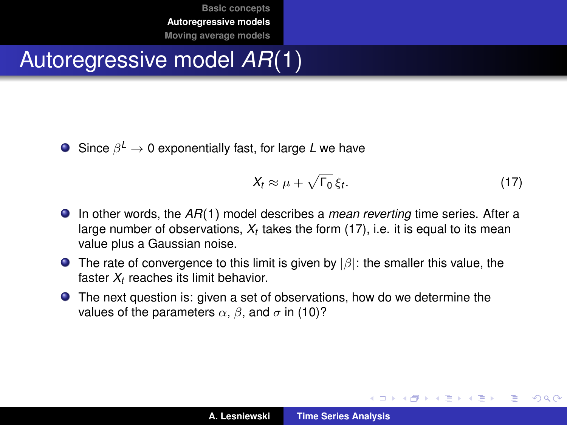# Autoregressive model *AR*(1)

Since β *<sup>L</sup>* → 0 exponentially fast, for large *L* we have

<span id="page-19-0"></span>
$$
X_t \approx \mu + \sqrt{\Gamma_0} \, \xi_t. \tag{17}
$$

イロメ イ部メ イヨメ イヨメー

Þ  $2Q$ 

- In other words, the *AR*(1) model describes a *mean reverting* time series. After a large number of observations, *X<sup>t</sup>* takes the form [\(17\)](#page-19-0), i.e. it is equal to its mean value plus a Gaussian noise.
- **The rate of convergence to this limit is given by**  $|\beta|$ : the smaller this value, the faster *X<sup>t</sup>* reaches its limit behavior.
- The next question is: given a set of observations, how do we determine the values of the parameters  $\alpha$ ,  $\beta$ , and  $\sigma$  in [\(10\)](#page-13-1)?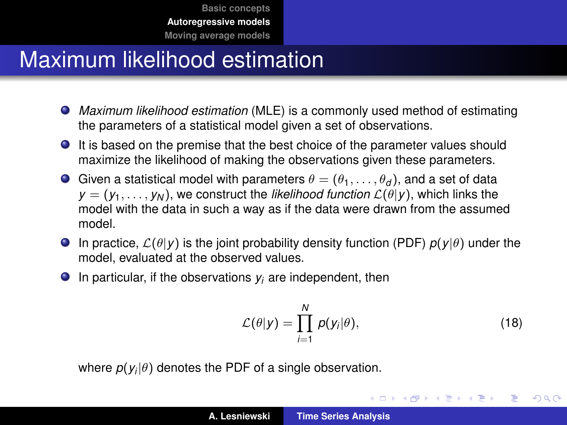## Maximum likelihood estimation

- *Maximum likelihood estimation* (MLE) is a commonly used method of estimating the parameters of a statistical model given a set of observations.
- It is based on the premise that the best choice of the parameter values should maximize the likelihood of making the observations given these parameters.
- Given a statistical model with parameters  $\theta = (\theta_1, \dots, \theta_d)$ , and a set of data  $y = (y_1, \ldots, y_N)$ , we construct the *likelihood function*  $\mathcal{L}(\theta | y)$ , which links the model with the data in such a way as if the data were drawn from the assumed model.
- **In practice,**  $\mathcal{L}(\theta | y)$  **is the joint probability density function (PDF)**  $p(y | \theta)$  **under the** model, evaluated at the observed values.
- $\bullet$  In particular, if the observations  $y_i$  are independent, then

$$
\mathcal{L}(\theta|y) = \prod_{i=1}^{N} p(y_i|\theta), \qquad (18)
$$

イロメ イ部メ イヨメ イヨメー

 $2Q$ 

Þ

where  $p(y_i|\theta)$  denotes the PDF of a single observation.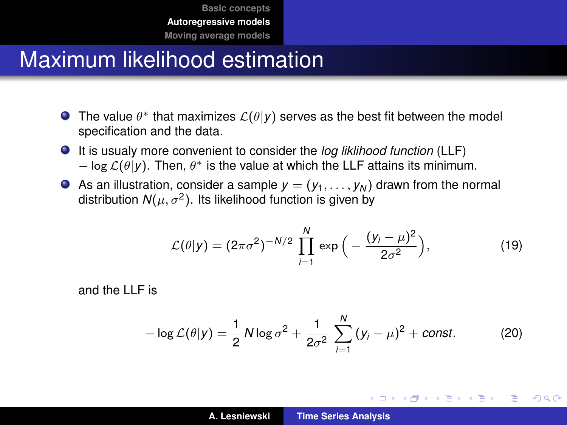## Maximum likelihood estimation

- The value  $\theta^*$  that maximizes  $\mathcal{L}(\theta|\pmb{y})$  serves as the best fit between the model specification and the data.
- It is usualy more convenient to consider the *log liklihood function* (LLF)  $-$  log  $\mathcal{L}(\theta | y)$ . Then,  $\theta^*$  is the value at which the LLF attains its minimum.
- As an illustration, consider a sample  $y = (y_1, \ldots, y_N)$  drawn from the normal distribution  $N(\mu, \sigma^2)$ . Its likelihood function is given by

$$
\mathcal{L}(\theta|y) = (2\pi\sigma^2)^{-N/2} \prod_{i=1}^N \exp\Big(-\frac{(y_i - \mu)^2}{2\sigma^2}\Big),\tag{19}
$$

and the LLF is

$$
-\log \mathcal{L}(\theta | y) = \frac{1}{2} N \log \sigma^2 + \frac{1}{2\sigma^2} \sum_{i=1}^N (y_i - \mu)^2 + const.
$$
 (20)

イロメ イ部メ イヨメ イヨメー

重

 $298$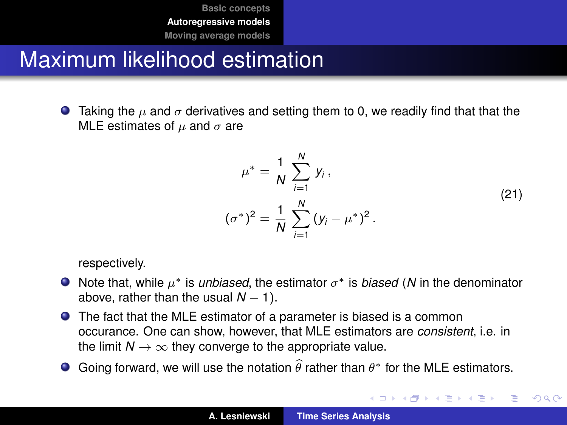## Maximum likelihood estimation

**Taking the**  $\mu$  **and**  $\sigma$  **derivatives and setting them to 0, we readily find that that the** MLE estimates of  $\mu$  and  $\sigma$  are

$$
\mu^* = \frac{1}{N} \sum_{i=1}^N y_i,
$$
  

$$
(\sigma^*)^2 = \frac{1}{N} \sum_{i=1}^N (y_i - \mu^*)^2.
$$
 (21)

イロメ イ部メ イヨメ イヨメー

÷,

 $2Q$ 

respectively.

- Note that, while  $\mu^*$  is *unbiased*, the estimator  $\sigma^*$  is *biased* (N in the denominator above, rather than the usual  $N - 1$ ).
- The fact that the MLE estimator of a parameter is biased is a common occurance. One can show, however, that MLE estimators are *consistent*, i.e. in the limit  $N \rightarrow \infty$  they converge to the appropriate value.
- Going forward, we will use the notation  $\widehat{\theta}$  rather than  $\theta^*$  for the MLE estimators.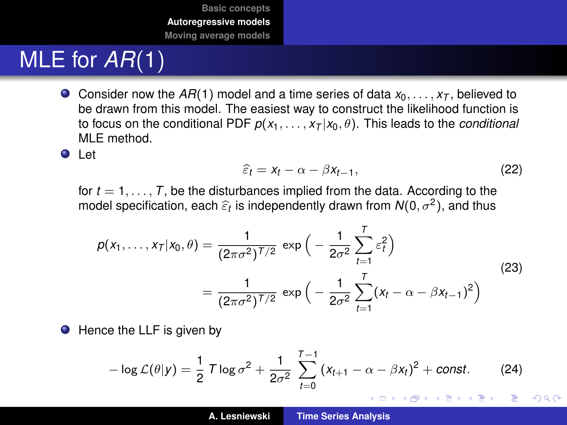# <span id="page-23-0"></span>MLE for *AR*(1)

Consider now the  $AR(1)$  model and a time series of data  $x_0, \ldots, x_T$ , believed to be drawn from this model. The easiest way to construct the likelihood function is to focus on the conditional PDF  $p(x_1, \ldots, x_T | x_0, \theta)$ . This leads to the *conditional* MLE method.

**O** Let

$$
\widehat{\varepsilon}_t = x_t - \alpha - \beta x_{t-1},\tag{22}
$$

for  $t = 1, \ldots, T$ , be the disturbances implied from the data. According to the model specification, each  $\widehat{\varepsilon} _t$  is independently drawn from  $\mathcal{N}(0,\sigma^2),$  and thus

$$
p(x_1,...,x_T|x_0,\theta) = \frac{1}{(2\pi\sigma^2)^{T/2}} \exp\left(-\frac{1}{2\sigma^2} \sum_{t=1}^T \varepsilon_t^2\right)
$$
  
= 
$$
\frac{1}{(2\pi\sigma^2)^{T/2}} \exp\left(-\frac{1}{2\sigma^2} \sum_{t=1}^T (x_t - \alpha - \beta x_{t-1})^2\right)
$$
(23)

● Hence the LLF is given by

$$
-\log \mathcal{L}(\theta|\mathbf{y}) = \frac{1}{2} \mathcal{T} \log \sigma^2 + \frac{1}{2\sigma^2} \sum_{t=0}^{T-1} (x_{t+1} - \alpha - \beta x_t)^2 + \text{const.} \tag{24}
$$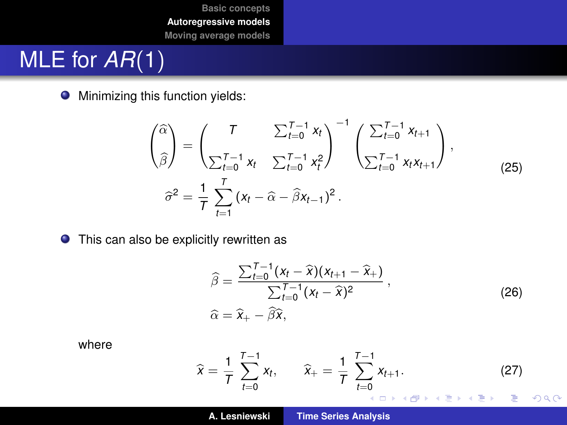# MLE for *AR*(1)

**•** Minimizing this function yields:

$$
\begin{pmatrix}\n\hat{\alpha} \\
\hat{\beta}\n\end{pmatrix} = \begin{pmatrix}\nT & \sum_{t=0}^{T-1} x_t \\
\sum_{t=0}^{T-1} x_t & \sum_{t=0}^{T-1} x_t^2\n\end{pmatrix}^{-1} \begin{pmatrix}\n\sum_{t=0}^{T-1} x_{t+1} \\
\sum_{t=0}^{T-1} x_t x_{t+1}\n\end{pmatrix},
$$
\n
$$
\hat{\sigma}^2 = \frac{1}{T} \sum_{t=1}^{T} (x_t - \hat{\alpha} - \hat{\beta} x_{t-1})^2.
$$
\n(25)

**•** This can also be explicitly rewritten as

$$
\widehat{\beta} = \frac{\sum_{t=0}^{T-1} (x_t - \widehat{x})(x_{t+1} - \widehat{x}_+)}{\sum_{t=0}^{T-1} (x_t - \widehat{x})^2},
$$
\n
$$
\widehat{\alpha} = \widehat{x}_+ - \widehat{\beta}\widehat{x},
$$
\n(26)

where

$$
\widehat{x} = \frac{1}{T} \sum_{t=0}^{T-1} x_t, \qquad \widehat{x}_+ = \frac{1}{T} \sum_{t=0}^{T-1} x_{t+1}. \tag{27}
$$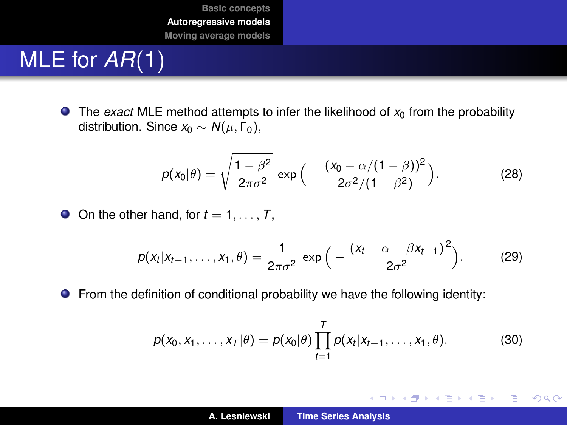# MLE for *AR*(1)

 $\bullet$  The *exact* MLE method attempts to infer the likelihood of  $x_0$  from the probability distribution. Since  $x_0 \sim N(\mu, \Gamma_0)$ ,

$$
p(x_0|\theta) = \sqrt{\frac{1-\beta^2}{2\pi\sigma^2}} \exp\Big(-\frac{(x_0-\alpha/(1-\beta))^2}{2\sigma^2/(1-\beta^2)}\Big). \tag{28}
$$

 $\bullet$  On the other hand, for  $t = 1, \ldots, T$ ,

$$
p(x_t | x_{t-1},...,x_1, \theta) = \frac{1}{2\pi\sigma^2} \exp\Big(-\frac{(x_t - \alpha - \beta x_{t-1})^2}{2\sigma^2}\Big).
$$
 (29)

From the definition of conditional probability we have the following identity:

$$
p(x_0, x_1, \ldots, x_T | \theta) = p(x_0 | \theta) \prod_{t=1}^T p(x_t | x_{t-1}, \ldots, x_1, \theta).
$$
 (30)

イロトメ 御 トメ 君 トメ 君 トー

 $299$ 重。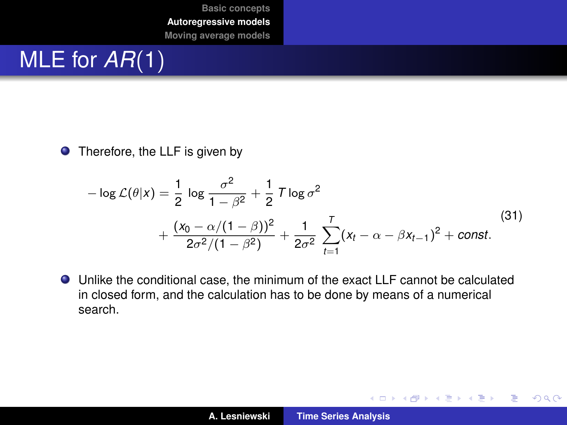# MLE for *AR*(1)

**O** Therefore, the LLF is given by

$$
-\log \mathcal{L}(\theta|x) = \frac{1}{2} \log \frac{\sigma^2}{1 - \beta^2} + \frac{1}{2} \mathcal{T} \log \sigma^2 + \frac{(x_0 - \alpha/(1 - \beta))^2}{2\sigma^2/(1 - \beta^2)} + \frac{1}{2\sigma^2} \sum_{t=1}^T (x_t - \alpha - \beta x_{t-1})^2 + \text{const.}
$$
(31)

Unlike the conditional case, the minimum of the exact LLF cannot be calculated in closed form, and the calculation has to be done by means of a numerical search.

イロメ イ部メ イヨメ イヨメー

重

 $299$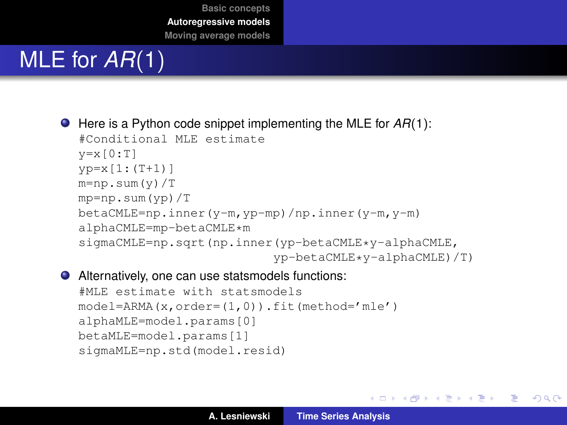# MLE for *AR*(1)

● Here is a Python code snippet implementing the MLE for  $AR(1)$ :

```
#Conditional MLE estimate
v=x[0:T]vp=x[1:(T+1)]m=np.sum(y)/Tmp=np.sum(yp)/T
betaCMLE=np.inner(y-m,yp-mp)/np.inner(y-m,y-m)
alphaCMLE=mp-betaCMLE*m
sigmaCMLE=np.sqrt(np.inner(yp-betaCMLE*y-alphaCMLE,
                          yp-betaCMLE*y-alphaCMLE)/T)
```
#### Alternatively, one can use statsmodels functions:

```
#MLE estimate with statsmodels
model=ARMA(x,order=(1,0)).fit(method='mle')
alphaMLE=model.params[0]
betaMLE=model.params[1]
sigmaMLE=np.std(model.resid)
```
K ロ ▶ K 御 ▶ K 重 ▶ K 重 ▶ 三重 → 約 Q @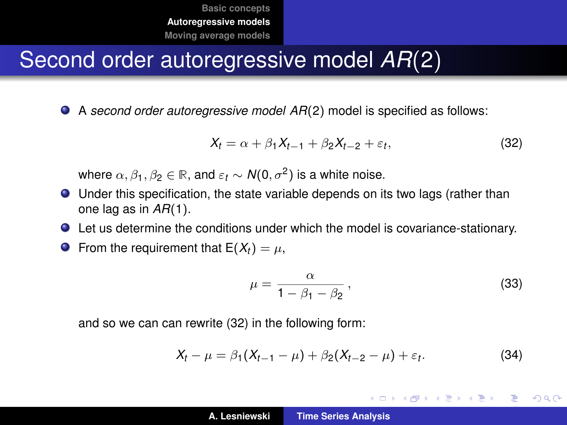#### Second order autoregressive model *AR*(2)

A *second order autoregressive model AR*(2) model is specified as follows:

<span id="page-28-0"></span>
$$
X_t = \alpha + \beta_1 X_{t-1} + \beta_2 X_{t-2} + \varepsilon_t, \tag{32}
$$

where  $\alpha, \beta_1, \beta_2 \in \mathbb{R}$ , and  $\varepsilon_t \sim \mathcal{N}(0, \sigma^2)$  is a white noise.

- Under this specification, the state variable depends on its two lags (rather than one lag as in *AR*(1).
- Let us determine the conditions under which the model is covariance-stationary.
- **O** From the requirement that  $E(X_t) = \mu$ ,

$$
\mu = \frac{\alpha}{1 - \beta_1 - \beta_2},\tag{33}
$$

K ロ ⊁ K 伊 ⊁ K 君 ⊁ K 君 ⊁ …

ミー  $2Q$ 

and so we can can rewrite [\(32\)](#page-28-0) in the following form:

<span id="page-28-1"></span>
$$
X_t - \mu = \beta_1 (X_{t-1} - \mu) + \beta_2 (X_{t-2} - \mu) + \varepsilon_t.
$$
 (34)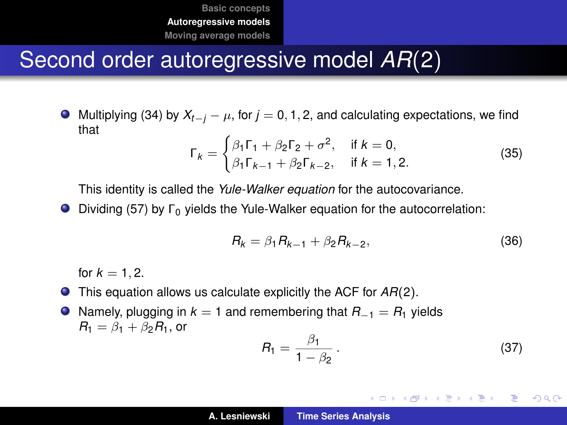#### Second order autoregressive model *AR*(2)

 $\bullet$  Multiplying [\(34\)](#page-28-1) by  $X_{t-i} - \mu$ , for  $j = 0, 1, 2$ , and calculating expectations, we find that

<span id="page-29-0"></span>
$$
\Gamma_k = \begin{cases} \beta_1 \Gamma_1 + \beta_2 \Gamma_2 + \sigma^2, & \text{if } k = 0, \\ \beta_1 \Gamma_{k-1} + \beta_2 \Gamma_{k-2}, & \text{if } k = 1, 2. \end{cases}
$$
 (35)

This identity is called the *Yule-Walker equation* for the autocovariance.

 $\bullet$  Dividing [\(57\)](#page-29-0) by  $\Gamma_0$  yields the Yule-Walker equation for the autocorrelation:

$$
R_k = \beta_1 R_{k-1} + \beta_2 R_{k-2}, \tag{36}
$$

for  $k = 1, 2$ .

This equation allows us calculate explicitly the ACF for *AR*(2).

Namely, plugging in *k* = 1 and remembering that *R*−<sup>1</sup> = *R*<sup>1</sup> yields  $R_1 = \beta_1 + \beta_2 R_1$ , or

$$
R_1 = \frac{\beta_1}{1 - \beta_2} \,. \tag{37}
$$

K ロ ⊁ K 伊 ⊁ K 君 ⊁ K 君 ⊁ …

ミー  $200$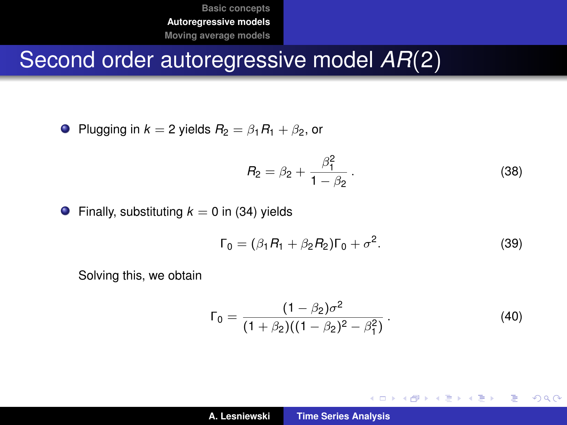## Second order autoregressive model *AR*(2)

• Plugging in 
$$
k = 2
$$
 yields  $R_2 = \beta_1 R_1 + \beta_2$ , or

$$
R_2 = \beta_2 + \frac{\beta_1^2}{1 - \beta_2} \,. \tag{38}
$$

**•** Finally, substituting  $k = 0$  in [\(34\)](#page-28-1) yields

$$
\Gamma_0 = (\beta_1 R_1 + \beta_2 R_2) \Gamma_0 + \sigma^2.
$$
 (39)

Solving this, we obtain

$$
\Gamma_0 = \frac{(1 - \beta_2)\sigma^2}{(1 + \beta_2)((1 - \beta_2)^2 - \beta_1^2)}.
$$
\n(40)

イロメ イ部メ イヨメ イヨメー

重

 $299$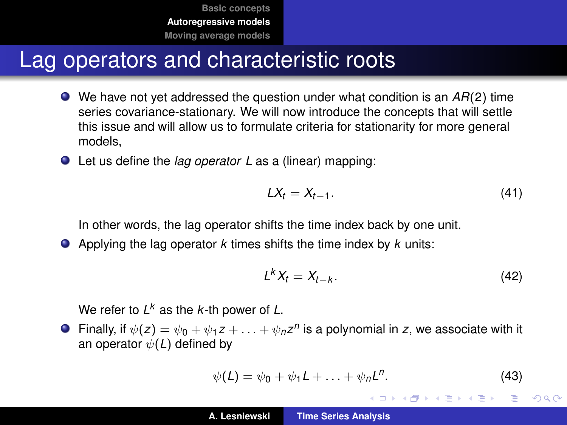#### Lag operators and characteristic roots

- We have not yet addressed the question under what condition is an *AR*(2) time series covariance-stationary. We will now introduce the concepts that will settle this issue and will allow us to formulate criteria for stationarity for more general models,
- Let us define the *lag operator L* as a (linear) mapping:

$$
LX_t = X_{t-1}.\tag{41}
$$

In other words, the lag operator shifts the time index back by one unit.

Applying the lag operator *k* times shifts the time index by *k* units:

$$
L^k X_t = X_{t-k}.\tag{42}
$$

イロメ イ部メ イ君メ イ君メー

Þ  $2Q$ 

We refer to *L <sup>k</sup>* as the *k*-th power of *L*.

Finally, if  $\psi(z) = \psi_0 + \psi_1 z + \ldots + \psi_n z^n$  is a polynomial in *z*, we associate with it an operator  $\psi(L)$  defined by

$$
\psi(\mathsf{L}) = \psi_0 + \psi_1 \mathsf{L} + \ldots + \psi_n \mathsf{L}^n. \tag{43}
$$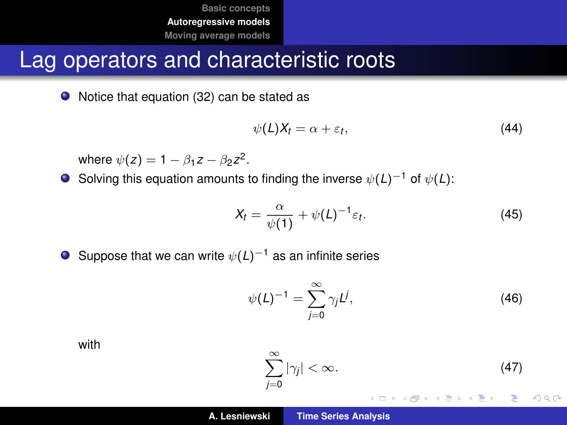#### <span id="page-32-0"></span>Lag operators and characteristic roots

● Notice that equation [\(32\)](#page-28-0) can be stated as

<span id="page-32-2"></span>
$$
\psi(L)X_t = \alpha + \varepsilon_t, \tag{44}
$$

where  $\psi(z) = 1 - \beta_1 z - \beta_2 z^2$ .

Solving this equation amounts to finding the inverse ψ(*L*)−<sup>1</sup> of ψ(*L*):

$$
X_t = \frac{\alpha}{\psi(1)} + \psi(L)^{-1} \varepsilon_t.
$$
 (45)

**O** Suppose that we can write  $\psi(L)^{-1}$  as an infinite series

$$
\psi(L)^{-1} = \sum_{j=0}^{\infty} \gamma_j L^j,
$$
 (46)

with

<span id="page-32-1"></span>
$$
\sum_{j=0}^{\infty} |\gamma_j| < \infty.
$$
 (47)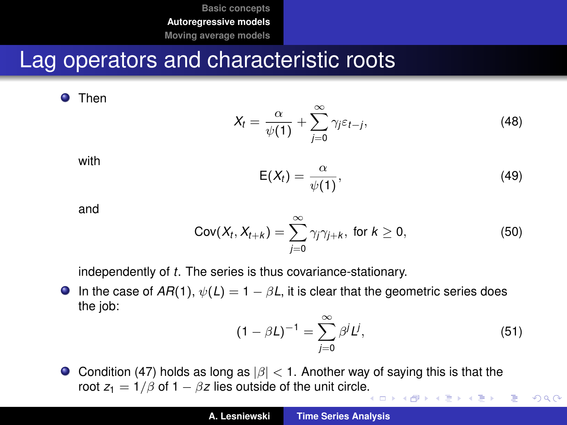#### Lag operators and characteristic roots

**O** Then

$$
X_t = \frac{\alpha}{\psi(1)} + \sum_{j=0}^{\infty} \gamma_j \varepsilon_{t-j},
$$
\n(48)

with

$$
E(X_t) = \frac{\alpha}{\psi(1)},
$$
\n(49)

and

$$
Cov(X_t, X_{t+k}) = \sum_{j=0}^{\infty} \gamma_j \gamma_{j+k}, \text{ for } k \ge 0,
$$
 (50)

independently of *t*. The series is thus covariance-stationary.

**In** the case of  $AR(1)$ ,  $\psi(L) = 1 - \beta L$ , it is clear that the geometric series does the job:

<span id="page-33-0"></span>
$$
(1 - \beta L)^{-1} = \sum_{j=0}^{\infty} \beta^j L^j,
$$
 (51)

 $2990$ 

Condition [\(47\)](#page-32-1) holds as long as  $|\beta|$  < 1. Another way of saying this is that the root  $z_1 = 1/\beta$  of  $1 - \beta z$  lies outside of the unit circl[e.](#page-32-0) 唐山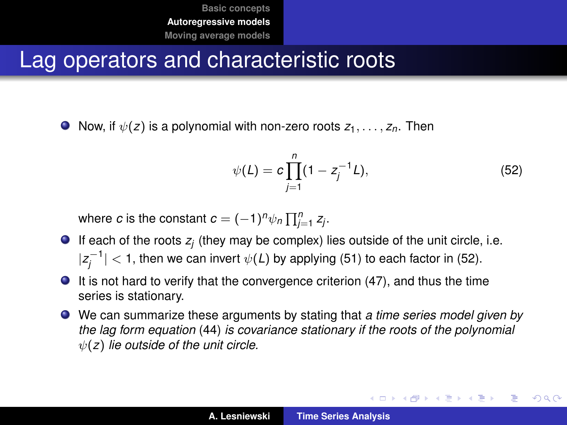#### Lag operators and characteristic roots

 $\bullet$  Now, if  $\psi(z)$  is a polynomial with non-zero roots  $z_1, \ldots, z_n$ . Then

<span id="page-34-0"></span>
$$
\psi(L) = c \prod_{j=1}^{n} (1 - z_j^{-1} L), \tag{52}
$$

イロメ イ部メ イ君メ イ君メー

 $299$ 造っ

where *c* is the constant  $c = (-1)^n \psi_n \prod_{j=1}^n z_j$ .

- If each of the roots  $z_j$  (they may be complex) lies outside of the unit circle, i.e.  $|z_j^{-1}| < 1$ , then we can invert  $\psi(L)$  by applying [\(51\)](#page-33-0) to each factor in [\(52\)](#page-34-0).
- It is not hard to verify that the convergence criterion [\(47\)](#page-32-1), and thus the time series is stationary.
- We can summarize these arguments by stating that *a time series model given by the lag form equation* [\(44\)](#page-32-2) *is covariance stationary if the roots of the polynomial* ψ(*z*) *lie outside of the unit circle.*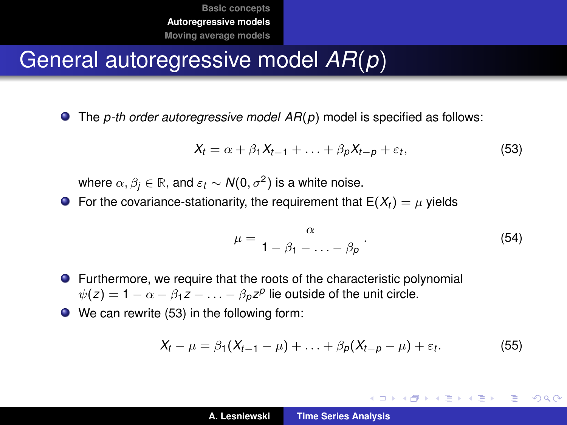#### General autoregressive model *AR*(*p*)

The *p-th order autoregressive model AR*(*p*) model is specified as follows:

<span id="page-35-0"></span>
$$
X_t = \alpha + \beta_1 X_{t-1} + \ldots + \beta_p X_{t-p} + \varepsilon_t, \tag{53}
$$

where  $\alpha,\beta_j\in\mathbb R,$  and  $\varepsilon_t\sim \mathcal{N}(0,\sigma^2)$  is a white noise.

**•** For the covariance-stationarity, the requirement that  $E(X_t) = \mu$  yields

$$
\mu = \frac{\alpha}{1 - \beta_1 - \ldots - \beta_p}.
$$
\n(54)

イロメ イ団メ イヨメ イヨメー

重  $2Q$ 

- Furthermore, we require that the roots of the characteristic polynomial  $\psi(z) = 1 - \alpha - \beta_1 z - \ldots - \beta_p z^p$  lie outside of the unit circle.
- We can rewrite [\(53\)](#page-35-0) in the following form:

$$
X_t - \mu = \beta_1(X_{t-1} - \mu) + \ldots + \beta_p(X_{t-p} - \mu) + \varepsilon_t.
$$
 (55)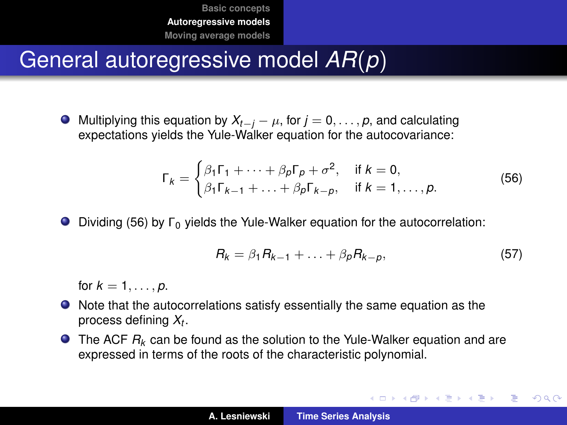## General autoregressive model *AR*(*p*)

 $\bullet$  Multiplying this equation by  $X_{t-i} - \mu$ , for  $j = 0, \ldots, p$ , and calculating expectations yields the Yule-Walker equation for the autocovariance:

<span id="page-36-0"></span>
$$
\Gamma_k = \begin{cases} \beta_1 \Gamma_1 + \dots + \beta_p \Gamma_p + \sigma^2, & \text{if } k = 0, \\ \beta_1 \Gamma_{k-1} + \dots + \beta_p \Gamma_{k-p}, & \text{if } k = 1, \dots, p. \end{cases}
$$
(56)

Dividing [\(56\)](#page-36-0) by Γ<sup>0</sup> yields the Yule-Walker equation for the autocorrelation:

$$
R_k = \beta_1 R_{k-1} + \ldots + \beta_p R_{k-p}, \qquad (57)
$$

イロメ イ部メ イヨメ イヨメー

Þ  $2Q$ 

for  $k = 1, ..., p$ .

- Note that the autocorrelations satisfy essentially the same equation as the process defining *X<sup>t</sup>* .
- **The ACF**  $R_k$  **can be found as the solution to the Yule-Walker equation and are** expressed in terms of the roots of the characteristic polynomial.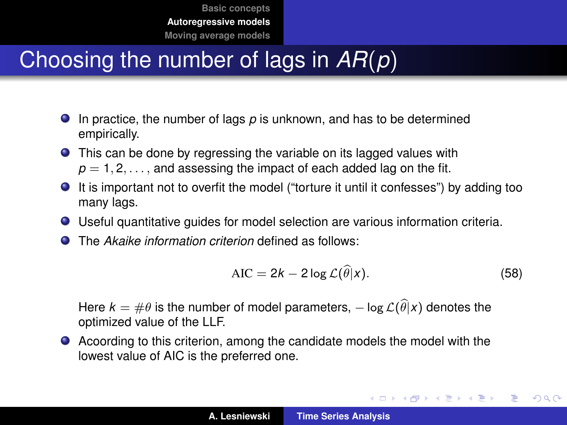# Choosing the number of lags in *AR*(*p*)

- In practice, the number of lags *p* is unknown, and has to be determined empirically.
- **•** This can be done by regressing the variable on its lagged values with  $p = 1, 2, \ldots$ , and assessing the impact of each added lag on the fit.
- It is important not to overfit the model ("torture it until it confesses") by adding too many lags.
- Useful quantitative guides for model selection are various information criteria.
- The *Akaike information criterion* defined as follows:  $\bullet$

$$
AIC = 2k - 2\log \mathcal{L}(\widehat{\theta}|x). \tag{58}
$$

イロメ イ団メ イヨメ イヨメー

÷.

 $QQ$ 

Here  $k = \#\theta$  is the number of model parameters,  $-\log \mathcal{L}(\widehat{\theta}|x)$  denotes the optimized value of the LLF.

Acoording to this criterion, among the candidate models the model with the lowest value of AIC is the preferred one.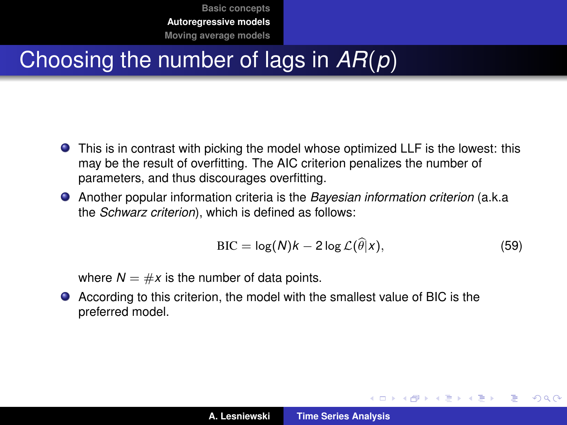# <span id="page-38-0"></span>Choosing the number of lags in *AR*(*p*)

- This is in contrast with picking the model whose optimized LLF is the lowest: this may be the result of overfitting. The AIC criterion penalizes the number of parameters, and thus discourages overfitting.
- Another popular information criteria is the *Bayesian information criterion* (a.k.a the *Schwarz criterion*), which is defined as follows:

$$
BIC = \log(N)k - 2\log \mathcal{L}(\widehat{\theta}|x), \qquad (59)
$$

イロメ イ部メ イ君メ イ君メー

 $QQ$ 

where  $N = \#x$  is the number of data points.

According to this criterion, the model with the smallest value of BIC is the preferred model.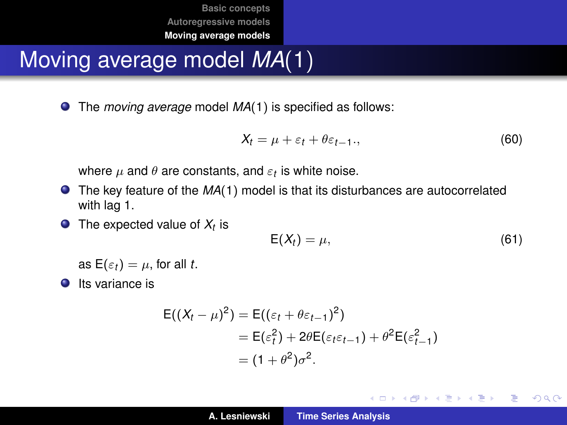# <span id="page-39-0"></span>Moving average model *MA*(1)

The *moving average* model *MA*(1) is specified as follows:

$$
X_t = \mu + \varepsilon_t + \theta \varepsilon_{t-1}, \qquad (60)
$$

where  $\mu$  and  $\theta$  are constants, and  $\varepsilon_t$  is white noise.

- **The key feature of the MA(1) model is that its disturbances are autocorrelated** with lag 1.
- The expected value of *X<sup>t</sup>* is

$$
E(X_t) = \mu,\tag{61}
$$

イロメ イ団メ イヨメ イヨメー

 $2990$ ミー

as  $E(\varepsilon_t) = \mu$ , for all *t*.

 $\bullet$  Its variance is

$$
E((X_t - \mu)^2) = E((\varepsilon_t + \theta \varepsilon_{t-1})^2)
$$
  
= E(\varepsilon\_t^2) + 2\theta E(\varepsilon\_t \varepsilon\_{t-1}) + \theta^2 E(\varepsilon\_{t-1}^2)  
= (1 + \theta^2)\sigma^2.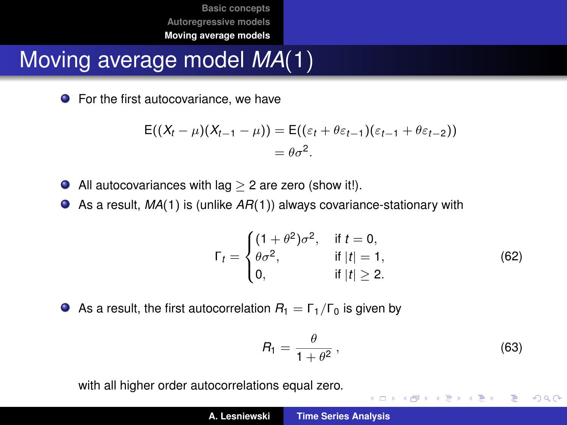# Moving average model *MA*(1)

**•** For the first autocovariance, we have

$$
E((X_t - \mu)(X_{t-1} - \mu)) = E((\varepsilon_t + \theta \varepsilon_{t-1})(\varepsilon_{t-1} + \theta \varepsilon_{t-2}))
$$
  
=  $\theta \sigma^2$ .

- All autocovariances with lag  $>$  2 are zero (show it!).  $\bullet$
- As a result, *MA*(1) is (unlike *AR*(1)) always covariance-stationary with

$$
\Gamma_t = \begin{cases}\n(1 + \theta^2)\sigma^2, & \text{if } t = 0, \\
\theta\sigma^2, & \text{if } |t| = 1, \\
0, & \text{if } |t| \ge 2.\n\end{cases}
$$
\n(62)

As a result, the first autocorrelation  $R_1 = \Gamma_1/\Gamma_0$  is given by

$$
R_1 = \frac{\theta}{1 + \theta^2} \,, \tag{63}
$$

K ロ ⊁ K 伊 ⊁ K 君 ⊁ K 君 ⊁ …

重い  $299$ 

with all higher order autocorrelations equal zero.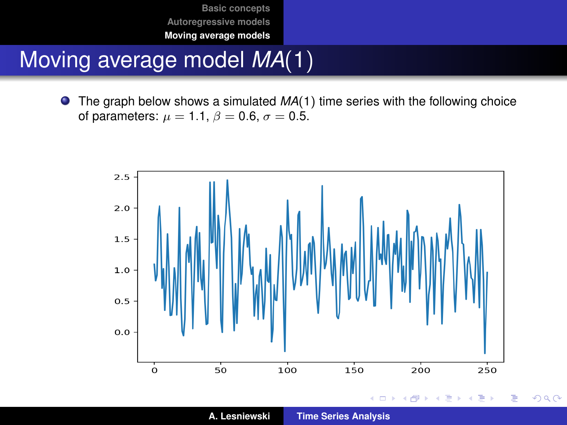# Moving average model *MA*(1)

The graph below shows a simulated *MA*(1) time series with the following choice  $\bullet$ of parameters:  $\mu = 1.1$ ,  $\beta = 0.6$ ,  $\sigma = 0.5$ .



**A. Lesniewski [Time Series Analysis](#page-0-0)**

 $2Q$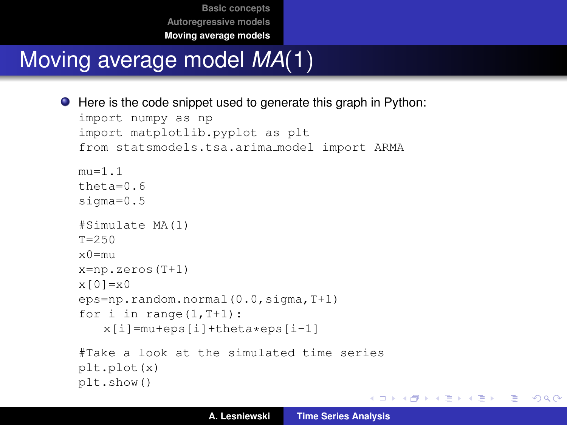# Moving average model *MA*(1)

```
● Here is the code snippet used to generate this graph in Python:
  import numpy as np
  import matplotlib.pyplot as plt
  from statsmodels.tsa.arima model import ARMA
  m_{11} = 1.1theta=0.6sigma=0.5
  #Simulate MA(1)
  T = 250x0=mu
  x=np.zeros(T+1)
  x[0]=x0eps=np.random.normal(0.0,sigma,T+1)
  for i in range(1, T+1):
      x[i]=mu+eps[i]+theta*eps[i-1]
  #Take a look at the simulated time series
  plt.plot(x)
  plt.show()
```
K ロ ▶ K 個 ▶ K 로 ▶ K 로 ▶ - 로 - K 9 Q @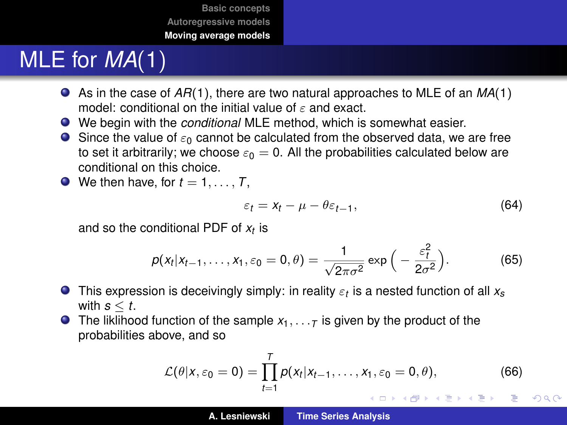# MLE for *MA*(1)

- As in the case of *AR*(1), there are two natural approaches to MLE of an *MA*(1) model: conditional on the initial value of  $\varepsilon$  and exact.
- We begin with the *conditional* MLE method, which is somewhat easier.
- **Since the value of**  $\varepsilon_0$  **cannot be calculated from the observed data, we are free** to set it arbitrarily; we choose  $\varepsilon_0 = 0$ . All the probabilities calculated below are conditional on this choice.
- $\bullet$  We then have, for  $t = 1, \ldots, T$ ,

$$
\varepsilon_t = x_t - \mu - \theta \varepsilon_{t-1}, \tag{64}
$$

and so the conditional PDF of *x<sup>t</sup>* is

$$
p(x_t|x_{t-1},\ldots,x_1,\varepsilon_0=0,\theta)=\frac{1}{\sqrt{2\pi\sigma^2}}\exp\Big(-\frac{\varepsilon_1^2}{2\sigma^2}\Big). \hspace{1cm} (65)
$$

- This expression is deceivingly simply: in reality ε*<sup>t</sup>* is a nested function of all *xs* with  $s < t$ .
- **The liklihood function of the sample**  $x_1, \ldots, x_n$  **is given by the product of the** probabilities above, and so

$$
\mathcal{L}(\theta|X,\varepsilon_0=0)=\prod_{t=1}^T p(X_t|X_{t-1},\ldots,X_1,\varepsilon_0=0,\theta),\qquad(66)
$$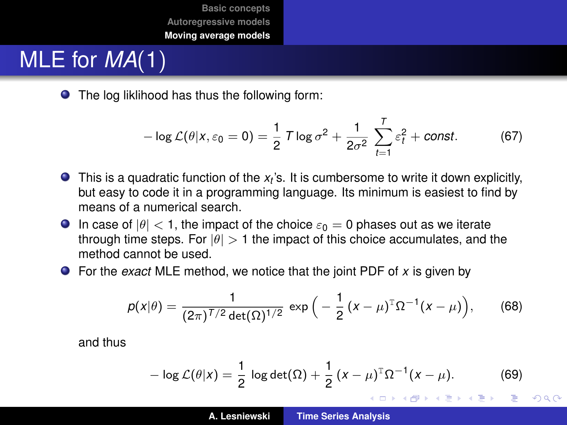# MLE for *MA*(1)

● The log liklihood has thus the following form:

$$
-\log \mathcal{L}(\theta | \mathbf{x}, \varepsilon_0 = 0) = \frac{1}{2} \mathcal{T} \log \sigma^2 + \frac{1}{2\sigma^2} \sum_{t=1}^T \varepsilon_t^2 + \text{const.}
$$
 (67)

- This is a quadratic function of the  $x_t$ 's. It is cumbersome to write it down explicitly, but easy to code it in a programming language. Its minimum is easiest to find by means of a numerical search.
- **In case of**  $|\theta| < 1$ **, the impact of the choice**  $\varepsilon_0 = 0$  **phases out as we iterate** through time steps. For  $|\theta| > 1$  the impact of this choice accumulates, and the method cannot be used.
- For the *exact* MLE method, we notice that the joint PDF of *x* is given by

$$
p(x|\theta) = \frac{1}{(2\pi)^{T/2} \det(\Omega)^{1/2}} \exp\Big(-\frac{1}{2}(x-\mu)^{T}\Omega^{-1}(x-\mu)\Big), \quad (68)
$$

and thus

<span id="page-44-0"></span>
$$
- \log \mathcal{L}(\theta | x) = \frac{1}{2} \log \det(\Omega) + \frac{1}{2} (x - \mu)^T \Omega^{-1} (x - \mu).
$$
 (69)

イロメ イ部メ イ君メ イ君メー

Þ

 $298$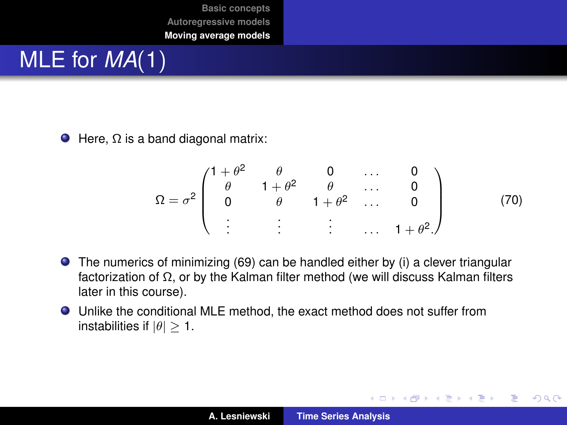# MLE for *MA*(1)

 $\bullet$  Here,  $\Omega$  is a band diagonal matrix:

$$
\Omega = \sigma^2 \begin{pmatrix} 1 + \theta^2 & \theta & 0 & \dots & 0 \\ \theta & 1 + \theta^2 & \theta & \dots & 0 \\ 0 & \theta & 1 + \theta^2 & \dots & 0 \\ \vdots & \vdots & \vdots & \dots & 1 + \theta^2 \end{pmatrix}
$$
 (70)

イロメ イ部メ イヨメ イヨメー

 $299$ 

重

- The numerics of minimizing [\(69\)](#page-44-0) can be handled either by (i) a clever triangular factorization of Ω, or by the Kalman filter method (we will discuss Kalman filters later in this course).
- Unlike the conditional MLE method, the exact method does not suffer from instabilities if  $|\theta| > 1$ .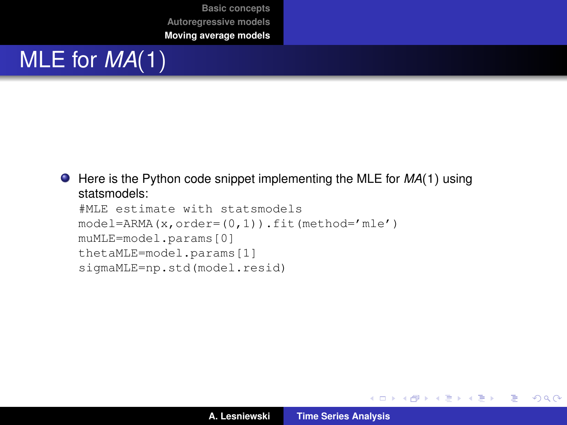# MLE for *MA*(1)

```
● Here is the Python code snippet implementing the MLE for MA(1) using
   statsmodels:
```

```
#MLE estimate with statsmodels
model=ARMA(x,order=(0,1)).fit(method='mle')
muMLE=model.params[0]
thetaMLE=model.params[1]
sigmaMLE=np.std(model.resid)
```
K ロ ⊁ K 伊 ⊁ K 君 ⊁ K 君 ⊁ …

 $E = \Omega Q$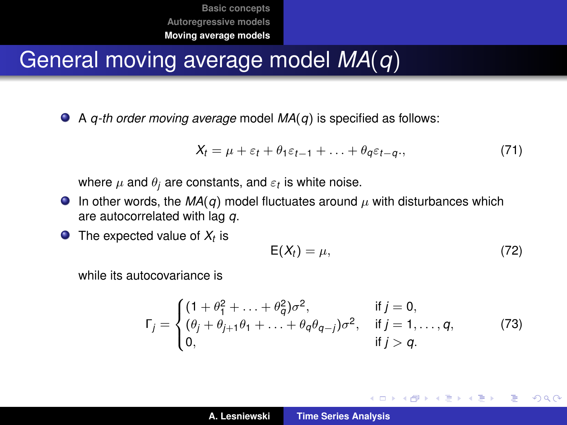## General moving average model *MA*(*q*)

A *q-th order moving average* model *MA*(*q*) is specified as follows:

$$
X_t = \mu + \varepsilon_t + \theta_1 \varepsilon_{t-1} + \ldots + \theta_q \varepsilon_{t-q}, \qquad (71)
$$

where  $\mu$  and  $\theta_j$  are constants, and  $\varepsilon_t$  is white noise.

- **ID** In other words, the  $MA(q)$  model fluctuates around  $\mu$  with disturbances which are autocorrelated with lag *q*.
- The expected value of *X<sup>t</sup>* is

$$
E(X_t) = \mu, \tag{72}
$$

イロメ イ部メ イヨメ イヨメー

重  $2Q$ 

while its autocovariance is

$$
\Gamma_j = \begin{cases}\n(1 + \theta_1^2 + \dots + \theta_q^2) \sigma^2, & \text{if } j = 0, \\
(\theta_j + \theta_{j+1} \theta_1 + \dots + \theta_q \theta_{q-j}) \sigma^2, & \text{if } j = 1, \dots, q, \\
0, & \text{if } j > q.\n\end{cases}
$$
\n(73)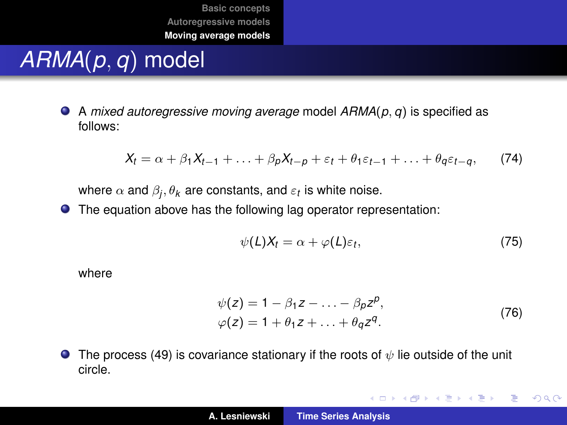# *ARMA*(*p*, *q*) model

<span id="page-48-0"></span>A *mixed autoregressive moving average* model *ARMA*(*p*, *q*) is specified as follows:

$$
X_t = \alpha + \beta_1 X_{t-1} + \ldots + \beta_p X_{t-p} + \varepsilon_t + \theta_1 \varepsilon_{t-1} + \ldots + \theta_q \varepsilon_{t-q}, \qquad (74)
$$

where  $\alpha$  and  $\beta_j, \theta_{\pmb{k}}$  are constants, and  $\varepsilon_{\pmb{t}}$  is white noise.

The equation above has the following lag operator representation:

$$
\psi(L)X_t = \alpha + \varphi(L)\varepsilon_t, \tag{75}
$$

where

$$
\psi(z) = 1 - \beta_1 z - \dots - \beta_p z^p,
$$
  
\n
$$
\varphi(z) = 1 + \theta_1 z + \dots + \theta_q z^q.
$$
\n(76)

K ロ ⊁ K 伊 ⊁ K 君 ⊁ K 君 ⊁ …

唐山  $2990$ 

**The process [\(49\)](#page-48-0) is covariance stationary if the roots of**  $\psi$  **lie outside of the unit** circle.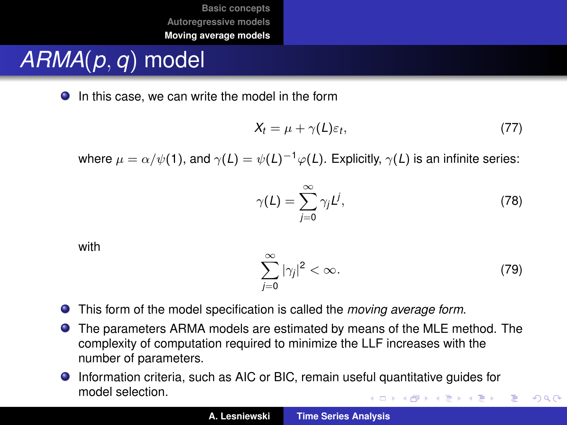# *ARMA*(*p*, *q*) model

● In this case, we can write the model in the form

$$
X_t = \mu + \gamma(L)\varepsilon_t, \tag{77}
$$

where  $\mu = \alpha/\psi(1)$ , and  $\gamma(L) = \psi(L)^{-1}\varphi(L)$ . Explicitly,  $\gamma(L)$  is an infinite series:

$$
\gamma(L) = \sum_{j=0}^{\infty} \gamma_j L^j,\tag{78}
$$

with

$$
\sum_{j=0}^{\infty} |\gamma_j|^2 < \infty. \tag{79}
$$

 $QQ$ 

- $\bullet$ This form of the model specification is called the *moving average form*.
- The parameters ARMA models are estimated by means of the MLE method. The  $\bullet$ complexity of computation required to minimize the LLF increases with the number of parameters.
- Information criteria, such as AIC or BIC, remain useful quantitative guides for model selection. イロト イ母 トイ ヨ トイ ヨ トー ヨー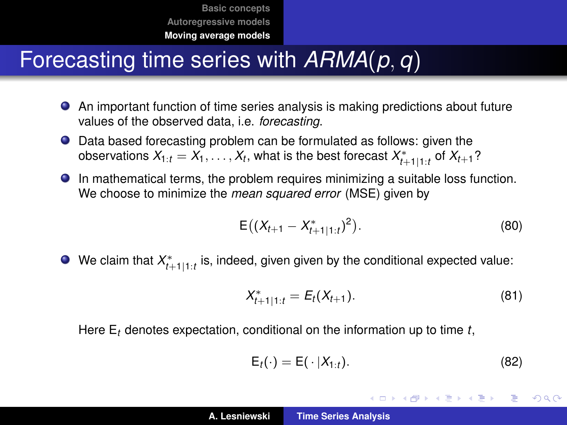## Forecasting time series with *ARMA*(*p*, *q*)

- An important function of time series analysis is making predictions about future values of the observed data, i.e. *forecasting*.
- Data based forecasting problem can be formulated as follows: given the  $\alpha$  *X*<sub>1</sub>:*t* = *X*<sub>1</sub>,  $\dots$  *, X<sub>t</sub>*, what is the best forecast  $X^*_{t+1|1:t}$  of  $X_{t+1}$  ?
- In mathematical terms, the problem requires minimizing a suitable loss function. We choose to minimize the *mean squared error* (MSE) given by

$$
E\big((X_{t+1}-X_{t+1|1:t}^*)^2\big).
$$
 (80)

We claim that  $X^*_{t+1|1:t}$  is, indeed, given given by the conditional expected value:

<span id="page-50-0"></span>
$$
X_{t+1|1:t}^* = E_t(X_{t+1}).
$$
\n(81)

Here E*<sup>t</sup>* denotes expectation, conditional on the information up to time *t*,

$$
\mathsf{E}_t(\cdot) = \mathsf{E}(\cdot | X_{1:t}). \tag{82}
$$

K ロ ⊁ K 伊 ⊁ K 君 ⊁ K 君 ⊁ …

重  $2Q$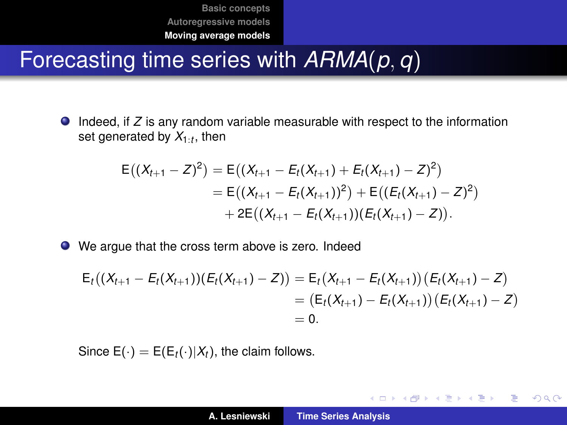## Forecasting time series with *ARMA*(*p*, *q*)

**ID** Indeed, if *Z* is any random variable measurable with respect to the information set generated by *X*1:*<sup>t</sup>* , then

$$
E((X_{t+1}-Z)^2) = E((X_{t+1}-E_t(X_{t+1})+E_t(X_{t+1})-Z)^2)
$$
  
= E((X\_{t+1}-E\_t(X\_{t+1}))^2) + E((E\_t(X\_{t+1})-Z)^2)  
+ 2E((X\_{t+1}-E\_t(X\_{t+1})) (E\_t(X\_{t+1})-Z)).

We argue that the cross term above is zero. Indeed

$$
E_t((X_{t+1}-E_t(X_{t+1}))(E_t(X_{t+1})-Z)) = E_t(X_{t+1}-E_t(X_{t+1}))(E_t(X_{t+1})-Z)
$$
  
=  $(E_t(X_{t+1})-E_t(X_{t+1}))(E_t(X_{t+1})-Z)$   
= 0.

Since  $E(\cdot) = E(E_t(\cdot)|X_t)$ , the claim follows.

イロメ イ団メ イヨメ イヨメー

 $2990$ ミー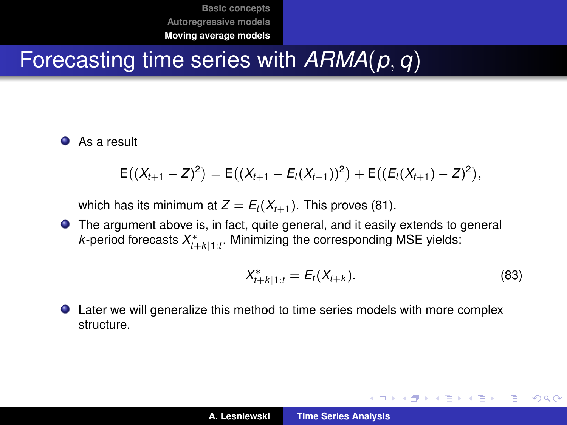## Forecasting time series with *ARMA*(*p*, *q*)

**As a result** 

$$
\mathsf{E}\big((X_{t+1}-Z)^2\big)=\mathsf{E}\big((X_{t+1}-E_t(X_{t+1}))^2\big)+\mathsf{E}\big((E_t(X_{t+1})-Z)^2\big),
$$

which has its minimum at  $Z = E_t(X_{t+1})$ . This proves [\(81\)](#page-50-0).

The argument above is, in fact, quite general, and it easily extends to general *k*-period forecasts *X* ∗ *t*+*k*|1:*t* . Minimizing the corresponding MSE yields:

$$
X_{t+k|1:t}^* = E_t(X_{t+k}).
$$
\n(83)

イロメ イ団メ イヨメ イヨメー

重

 $298$ 

Later we will generalize this method to time series models with more complex structure.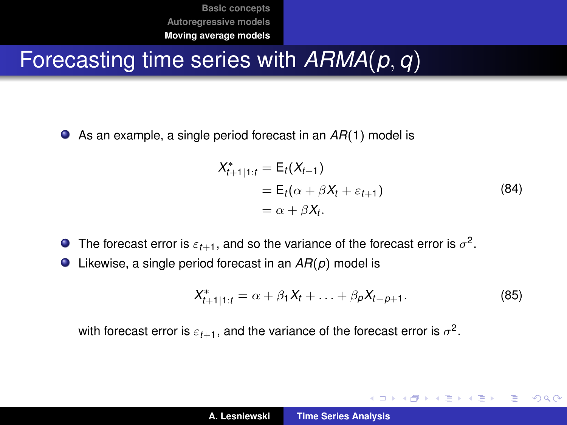## <span id="page-53-0"></span>Forecasting time series with *ARMA*(*p*, *q*)

As an example, a single period forecast in an *AR*(1) model is

$$
X_{t+1|1:t}^* = E_t(X_{t+1})
$$
  
=  $E_t(\alpha + \beta X_t + \varepsilon_{t+1})$   
=  $\alpha + \beta X_t$ . (84)

- The forecast error is  $\varepsilon_{t+1}$ , and so the variance of the forecast error is  $\sigma^2.$
- Likewise, a single period forecast in an *AR*(*p*) model is

$$
X_{t+1|1:t}^* = \alpha + \beta_1 X_t + \ldots + \beta_p X_{t-p+1}.
$$
 (85)

イロメ イ団メ イヨメ イヨメー

重

 $299$ 

with forecast error is  $\varepsilon_{t+1},$  and the variance of the forecast error is  $\sigma^2.$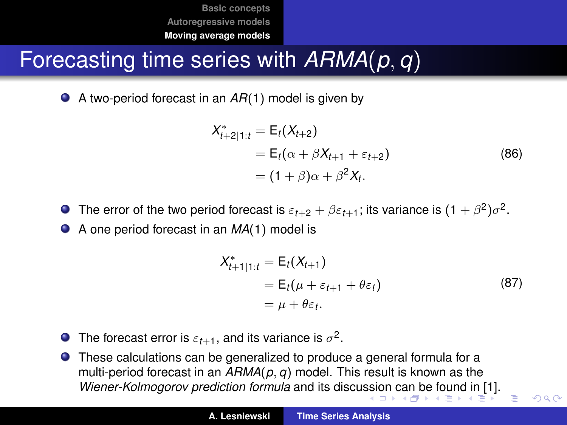## <span id="page-54-0"></span>Forecasting time series with *ARMA*(*p*, *q*)

● A two-period forecast in an *AR*(1) model is given by

$$
X_{t+2|1:t}^* = E_t(X_{t+2})
$$
  
=  $E_t(\alpha + \beta X_{t+1} + \varepsilon_{t+2})$  (86)  
=  $(1 + \beta)\alpha + \beta^2 X_t$ .

The error of the two period forecast is  $\varepsilon_{t+2}+\beta\varepsilon_{t+1};$  its variance is  $(1+\beta^2)\sigma^2.$ 

● A one period forecast in an *MA*(1) model is

$$
X_{t+1|1:t}^* = E_t(X_{t+1})
$$
  
=  $E_t(\mu + \varepsilon_{t+1} + \theta \varepsilon_t)$   
=  $\mu + \theta \varepsilon_t$ . (87)

E

 $QQ$ 

- The forecast error is  $\varepsilon_{t+1}$ , and its variance is  $\sigma^2$ .  $\bullet$
- These calculations can be generalized to produce a general formula for a multi-period forecast in an *ARMA*(*p*, *q*) model. This result is known as the *Wiener-Kolmogorov prediction formula* and its discu[ssio](#page-53-0)[n c](#page-55-0)[a](#page-53-0)[n b](#page-54-0)[e](#page-55-0) [f](#page-38-0)[o](#page-39-0)[und](#page-55-0) [i](#page-38-0)[n](#page-39-0) [\[](#page-55-0)[1\]](#page-55-1)[.](#page-0-0)